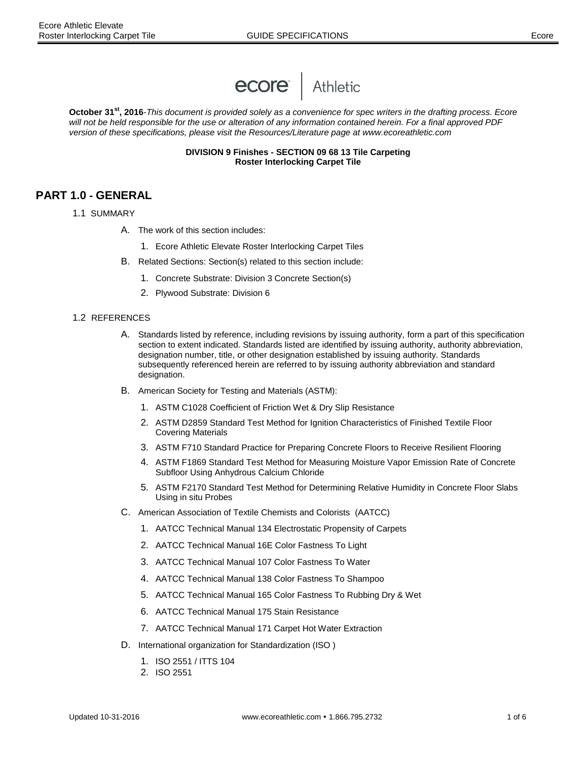

**October 31st, 2016***-This document is provided solely as a convenience for spec writers in the drafting process. Ecore will not be held responsible for the use or alteration of any information contained herein. For a final approved PDF version of these specifications, please visit the Resources/Literature page at www.ecoreathletic.com*

> **DIVISION 9 Finishes - SECTION 09 68 13 Tile Carpeting Roster Interlocking Carpet Tile**

# **PART 1.0 - GENERAL**

- 1.1 SUMMARY
	- A. The work of this section includes:
		- 1. Ecore Athletic Elevate Roster Interlocking Carpet Tiles
	- B. Related Sections: Section(s) related to this section include:
		- 1. Concrete Substrate: Division 3 Concrete Section(s)
		- 2. Plywood Substrate: Division 6

#### 1.2REFERENCES

- A. Standards listed by reference, including revisions by issuing authority, form a part of this specification section to extent indicated. Standards listed are identified by issuing authority, authority abbreviation, designation number, title, or other designation established by issuing authority. Standards subsequently referenced herein are referred to by issuing authority abbreviation and standard designation.
- B. American Society for Testing and Materials (ASTM):
	- 1. ASTM C1028 Coefficient of Friction Wet & Dry Slip Resistance
	- 2. ASTM D2859 Standard Test Method for Ignition Characteristics of Finished Textile Floor Covering Materials
	- 3. ASTM F710 Standard Practice for Preparing Concrete Floors to Receive Resilient Flooring
	- 4. ASTM F1869 Standard Test Method for Measuring Moisture Vapor Emission Rate of Concrete Subfloor Using Anhydrous Calcium Chloride
	- 5. ASTM F2170 Standard Test Method for Determining Relative Humidity in Concrete Floor Slabs Using in situ Probes
- C. American Association of Textile Chemists and Colorists (AATCC)
	- 1. AATCC Technical Manual 134 Electrostatic Propensity of Carpets
	- 2. AATCC Technical Manual 16E Color Fastness To Light
	- 3. AATCC Technical Manual 107 Color Fastness To Water
	- 4. AATCC Technical Manual 138 Color Fastness To Shampoo
	- 5. AATCC Technical Manual 165 Color Fastness To Rubbing Dry & Wet
	- 6. AATCC Technical Manual 175 Stain Resistance
	- 7. AATCC Technical Manual 171 Carpet Hot Water Extraction
- D. International organization for Standardization (ISO )
	- 1. ISO 2551 / ITTS 104
	- 2. ISO 2551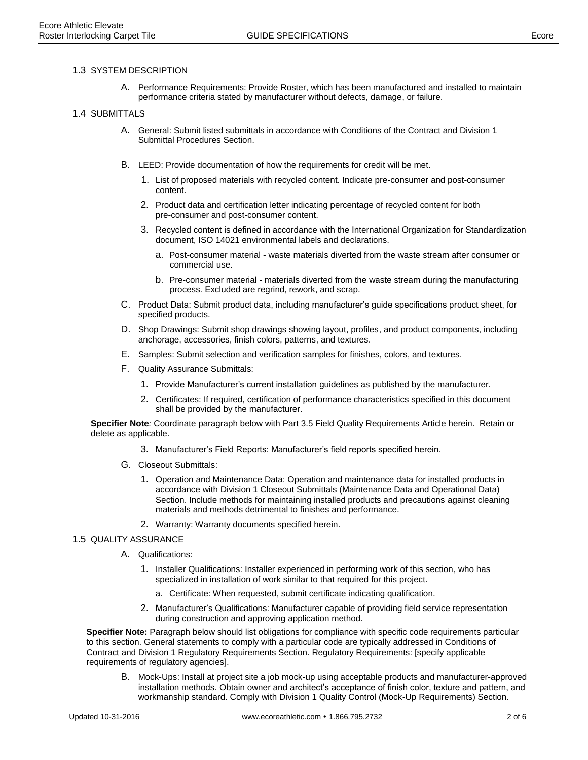A. Performance Requirements: Provide Roster, which has been manufactured and installed to maintain performance criteria stated by manufacturer without defects, damage, or failure.

#### 1.4 SUBMITTALS

- A. General: Submit listed submittals in accordance with Conditions of the Contract and Division 1 Submittal Procedures Section.
- B. LEED: Provide documentation of how the requirements for credit will be met.
	- 1. List of proposed materials with recycled content. Indicate pre-consumer and post-consumer content.
	- 2. Product data and certification letter indicating percentage of recycled content for both pre-consumer and post-consumer content.
	- 3. Recycled content is defined in accordance with the International Organization for Standardization document, ISO 14021 environmental labels and declarations.
		- a. Post-consumer material waste materials diverted from the waste stream after consumer or commercial use.
		- b. Pre-consumer material materials diverted from the waste stream during the manufacturing process. Excluded are regrind, rework, and scrap.
- C. Product Data: Submit product data, including manufacturer's guide specifications product sheet, for specified products.
- D. Shop Drawings: Submit shop drawings showing layout, profiles, and product components, including anchorage, accessories, finish colors, patterns, and textures.
- E. Samples: Submit selection and verification samples for finishes, colors, and textures.
- F. Quality Assurance Submittals:
	- 1. Provide Manufacturer's current installation guidelines as published by the manufacturer.
	- 2. Certificates: If required, certification of performance characteristics specified in this document shall be provided by the manufacturer.

**Specifier Note***:* Coordinate paragraph below with Part 3.5 Field Quality Requirements Article herein. Retain or delete as applicable.

- 3. Manufacturer's Field Reports: Manufacturer's field reports specified herein.
- G. Closeout Submittals:
	- 1. Operation and Maintenance Data: Operation and maintenance data for installed products in accordance with Division 1 Closeout Submittals (Maintenance Data and Operational Data) Section. Include methods for maintaining installed products and precautions against cleaning materials and methods detrimental to finishes and performance.
	- 2. Warranty: Warranty documents specified herein.

#### 1.5 QUALITY ASSURANCE

- A. Qualifications:
	- 1. Installer Qualifications: Installer experienced in performing work of this section, who has specialized in installation of work similar to that required for this project.
		- a. Certificate: When requested, submit certificate indicating qualification.
	- 2. Manufacturer's Qualifications: Manufacturer capable of providing field service representation during construction and approving application method.

**Specifier Note:** Paragraph below should list obligations for compliance with specific code requirements particular to this section. General statements to comply with a particular code are typically addressed in Conditions of Contract and Division 1 Regulatory Requirements Section. Regulatory Requirements: [specify applicable requirements of regulatory agencies].

B. Mock-Ups: Install at project site a job mock-up using acceptable products and manufacturer-approved installation methods. Obtain owner and architect's acceptance of finish color, texture and pattern, and workmanship standard. Comply with Division 1 Quality Control (Mock-Up Requirements) Section.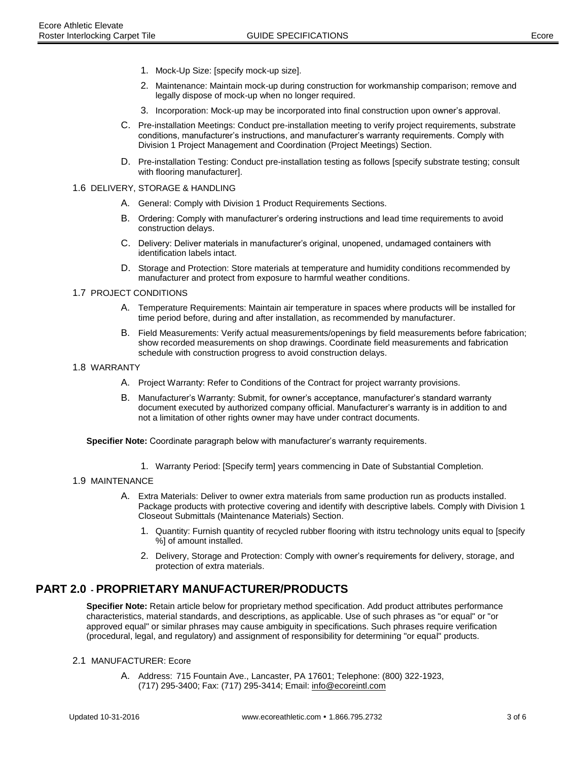- 1. Mock-Up Size: [specify mock-up size].
- 2. Maintenance: Maintain mock-up during construction for workmanship comparison; remove and legally dispose of mock-up when no longer required.
- 3. Incorporation: Mock-up may be incorporated into final construction upon owner's approval.
- C. Pre-installation Meetings: Conduct pre-installation meeting to verify project requirements, substrate conditions, manufacturer's instructions, and manufacturer's warranty requirements. Comply with Division 1 Project Management and Coordination (Project Meetings) Section.
- D. Pre-installation Testing: Conduct pre-installation testing as follows [specify substrate testing; consult with flooring manufacturer].
- 1.6 DELIVERY, STORAGE & HANDLING
	- A. General: Comply with Division 1 Product Requirements Sections.
	- B. Ordering: Comply with manufacturer's ordering instructions and lead time requirements to avoid construction delays.
	- C. Delivery: Deliver materials in manufacturer's original, unopened, undamaged containers with identification labels intact.
	- D. Storage and Protection: Store materials at temperature and humidity conditions recommended by manufacturer and protect from exposure to harmful weather conditions.

### 1.7 PROJECT CONDITIONS

- A. Temperature Requirements: Maintain air temperature in spaces where products will be installed for time period before, during and after installation, as recommended by manufacturer.
- B. Field Measurements: Verify actual measurements/openings by field measurements before fabrication; show recorded measurements on shop drawings. Coordinate field measurements and fabrication schedule with construction progress to avoid construction delays.
- 1.8 WARRANTY
	- A. Project Warranty: Refer to Conditions of the Contract for project warranty provisions.
	- B. Manufacturer's Warranty: Submit, for owner's acceptance, manufacturer's standard warranty document executed by authorized company official. Manufacturer's warranty is in addition to and not a limitation of other rights owner may have under contract documents.

**Specifier Note:** Coordinate paragraph below with manufacturer's warranty requirements.

1. Warranty Period: [Specify term] years commencing in Date of Substantial Completion.

### 1.9 MAINTENANCE

- A. Extra Materials: Deliver to owner extra materials from same production run as products installed. Package products with protective covering and identify with descriptive labels. Comply with Division 1 Closeout Submittals (Maintenance Materials) Section.
	- 1. Quantity: Furnish quantity of recycled rubber flooring with itstru technology units equal to [specify %] of amount installed.
	- 2. Delivery, Storage and Protection: Comply with owner's requirements for delivery, storage, and protection of extra materials.

# **PART 2.0 - PROPRIETARY MANUFACTURER/PRODUCTS**

**Specifier Note:** Retain article below for proprietary method specification. Add product attributes performance characteristics, material standards, and descriptions, as applicable. Use of such phrases as "or equal" or "or approved equal" or similar phrases may cause ambiguity in specifications. Such phrases require verification (procedural, legal, and regulatory) and assignment of responsibility for determining "or equal" products.

### 2.1 MANUFACTURER: Ecore

A. Address: 715 Fountain Ave., Lancaster, PA 17601; Telephone: (800) 322-1923, (717) 295-3400; Fax: (717) 295-3414; Email: info@ecoreintl.com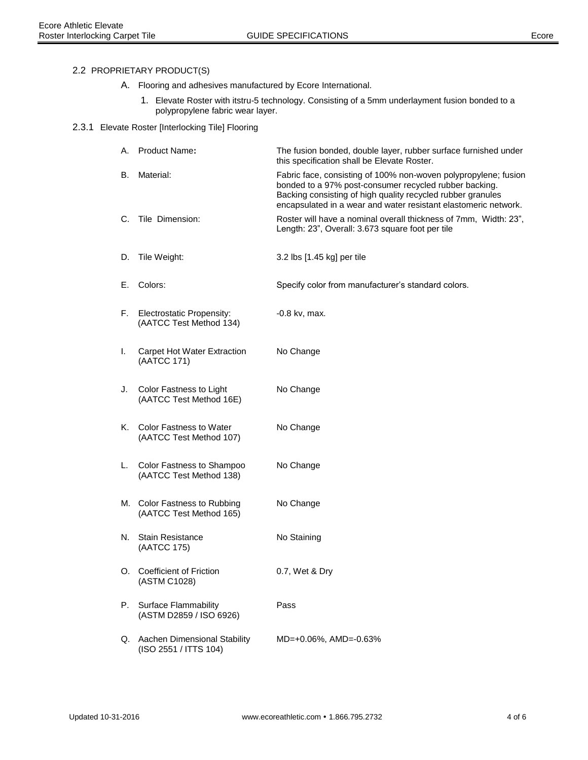# 2.2 PROPRIETARY PRODUCT(S)

- A. Flooring and adhesives manufactured by Ecore International.
	- 1. Elevate Roster with itstru-5 technology. Consisting of a 5mm underlayment fusion bonded to a polypropylene fabric wear layer.

## 2.3.1 Elevate Roster [Interlocking Tile] Flooring

| А.       | Product Name:                                             | The fusion bonded, double layer, rubber surface furnished under<br>this specification shall be Elevate Roster.                                                                                                                                              |
|----------|-----------------------------------------------------------|-------------------------------------------------------------------------------------------------------------------------------------------------------------------------------------------------------------------------------------------------------------|
| В.       | Material:                                                 | Fabric face, consisting of 100% non-woven polypropylene; fusion<br>bonded to a 97% post-consumer recycled rubber backing.<br>Backing consisting of high quality recycled rubber granules<br>encapsulated in a wear and water resistant elastomeric network. |
| C.       | Tile Dimension:                                           | Roster will have a nominal overall thickness of 7mm, Width: 23",<br>Length: 23", Overall: 3.673 square foot per tile                                                                                                                                        |
| D.       | Tile Weight:                                              | 3.2 lbs [1.45 kg] per tile                                                                                                                                                                                                                                  |
| Е.       | Colors:                                                   | Specify color from manufacturer's standard colors.                                                                                                                                                                                                          |
| F.       | Electrostatic Propensity:<br>(AATCC Test Method 134)      | -0.8 kv, max.                                                                                                                                                                                                                                               |
| I.       | <b>Carpet Hot Water Extraction</b><br>(AATCC 171)         | No Change                                                                                                                                                                                                                                                   |
| J.       | Color Fastness to Light<br>(AATCC Test Method 16E)        | No Change                                                                                                                                                                                                                                                   |
| Κ.       | <b>Color Fastness to Water</b><br>(AATCC Test Method 107) | No Change                                                                                                                                                                                                                                                   |
| L.       | Color Fastness to Shampoo<br>(AATCC Test Method 138)      | No Change                                                                                                                                                                                                                                                   |
|          | M. Color Fastness to Rubbing<br>(AATCC Test Method 165)   | No Change                                                                                                                                                                                                                                                   |
| N.       | <b>Stain Resistance</b><br>(AATCC 175)                    | No Staining                                                                                                                                                                                                                                                 |
| $\Omega$ | Coefficient of Friction<br>(ASTM C1028)                   | 0.7, Wet & Dry                                                                                                                                                                                                                                              |
| Р.       | Surface Flammability<br>(ASTM D2859 / ISO 6926)           | Pass                                                                                                                                                                                                                                                        |
| Q.       | Aachen Dimensional Stability<br>(ISO 2551 / ITTS 104)     | MD=+0.06%, AMD=-0.63%                                                                                                                                                                                                                                       |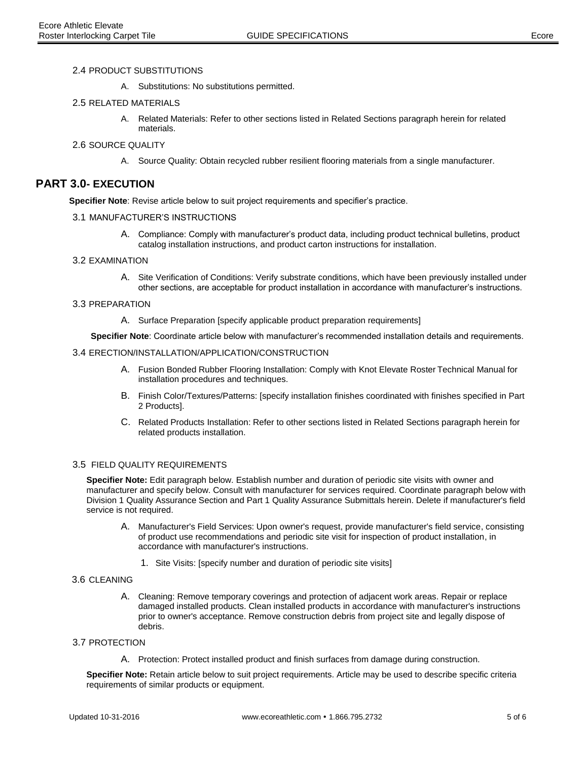#### 2.4 PRODUCT SUBSTITUTIONS

A. Substitutions: No substitutions permitted.

### 2.5 RELATED MATERIALS

A. Related Materials: Refer to other sections listed in Related Sections paragraph herein for related materials.

#### 2.6 SOURCE QUALITY

A. Source Quality: Obtain recycled rubber resilient flooring materials from a single manufacturer.

# **PART 3.0- EXECUTION**

**Specifier Note**: Revise article below to suit project requirements and specifier's practice.

#### 3.1 MANUFACTURER'S INSTRUCTIONS

A. Compliance: Comply with manufacturer's product data, including product technical bulletins, product catalog installation instructions, and product carton instructions for installation.

#### 3.2 EXAMINATION

A. Site Verification of Conditions: Verify substrate conditions, which have been previously installed under other sections, are acceptable for product installation in accordance with manufacturer's instructions.

#### 3.3 PREPARATION

A. Surface Preparation [specify applicable product preparation requirements]

**Specifier Note**: Coordinate article below with manufacturer's recommended installation details and requirements.

#### 3.4 ERECTION/INSTALLATION/APPLICATION/CONSTRUCTION

- A. Fusion Bonded Rubber Flooring Installation: Comply with Knot Elevate Roster Technical Manual for installation procedures and techniques.
- B. Finish Color/Textures/Patterns: [specify installation finishes coordinated with finishes specified in Part 2 Products].
- C. Related Products Installation: Refer to other sections listed in Related Sections paragraph herein for related products installation.

## 3.5 FIELD QUALITY REQUIREMENTS

**Specifier Note:** Edit paragraph below. Establish number and duration of periodic site visits with owner and manufacturer and specify below. Consult with manufacturer for services required. Coordinate paragraph below with Division 1 Quality Assurance Section and Part 1 Quality Assurance Submittals herein. Delete if manufacturer's field service is not required.

- A. Manufacturer's Field Services: Upon owner's request, provide manufacturer's field service, consisting of product use recommendations and periodic site visit for inspection of product installation, in accordance with manufacturer's instructions.
	- 1. Site Visits: [specify number and duration of periodic site visits]

#### 3.6 CLEANING

A. Cleaning: Remove temporary coverings and protection of adjacent work areas. Repair or replace damaged installed products. Clean installed products in accordance with manufacturer's instructions prior to owner's acceptance. Remove construction debris from project site and legally dispose of debris.

#### 3.7 PROTECTION

A. Protection: Protect installed product and finish surfaces from damage during construction.

**Specifier Note:** Retain article below to suit project requirements. Article may be used to describe specific criteria requirements of similar products or equipment.